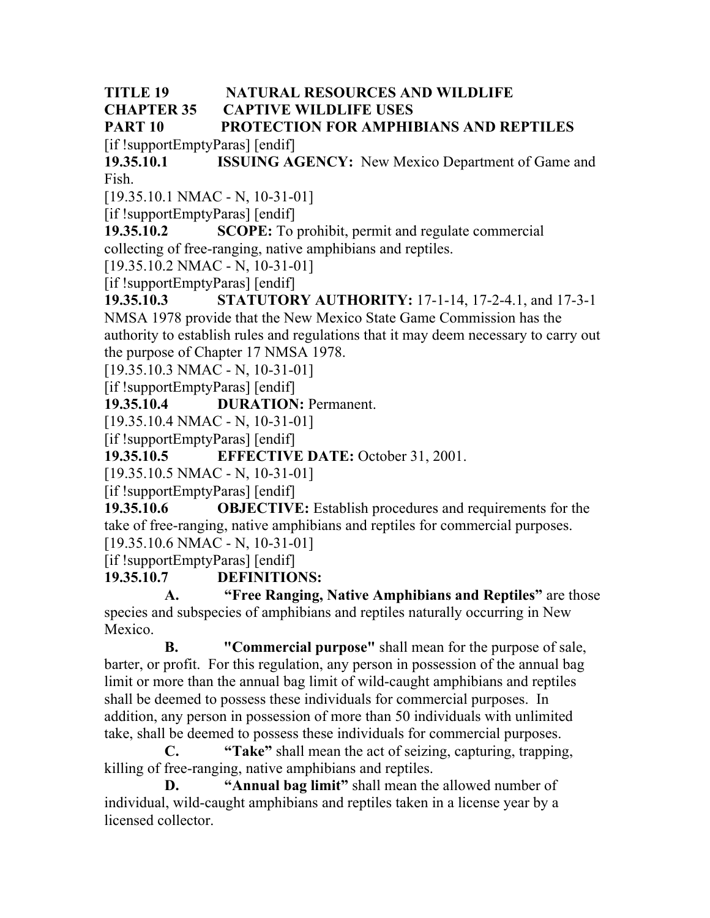#### **TITLE 19 NATURAL RESOURCES AND WILDLIFE CHAPTER 35 CAPTIVE WILDLIFE USES**

#### **PART 10 PROTECTION FOR AMPHIBIANS AND REPTILES** [if !supportEmptyParas] [endif]

**19.35.10.1 ISSUING AGENCY:** New Mexico Department of Game and Fish.

[19.35.10.1 NMAC - N, 10-31-01]

[if !supportEmptyParas] [endif]

**19.35.10.2 SCOPE:** To prohibit, permit and regulate commercial collecting of free-ranging, native amphibians and reptiles.

[19.35.10.2 NMAC - N, 10-31-01]

[if !supportEmptyParas] [endif]

**19.35.10.3 STATUTORY AUTHORITY:** 17-1-14, 17-2-4.1, and 17-3-1 NMSA 1978 provide that the New Mexico State Game Commission has the authority to establish rules and regulations that it may deem necessary to carry out the purpose of Chapter 17 NMSA 1978.

[19.35.10.3 NMAC - N, 10-31-01]

[if !supportEmptyParas] [endif]

**19.35.10.4 DURATION:** Permanent.

[19.35.10.4 NMAC - N, 10-31-01]

[if !supportEmptyParas] [endif]

**19.35.10.5 EFFECTIVE DATE:** October 31, 2001.

[19.35.10.5 NMAC - N, 10-31-01]

[if !supportEmptyParas] [endif]

**19.35.10.6 OBJECTIVE:** Establish procedures and requirements for the take of free-ranging, native amphibians and reptiles for commercial purposes. [19.35.10.6 NMAC - N, 10-31-01]

[if !supportEmptyParas] [endif]

**19.35.10.7 DEFINITIONS:**

**A. "Free Ranging, Native Amphibians and Reptiles"** are those species and subspecies of amphibians and reptiles naturally occurring in New Mexico.

**B. "Commercial purpose"** shall mean for the purpose of sale, barter, or profit. For this regulation, any person in possession of the annual bag limit or more than the annual bag limit of wild-caught amphibians and reptiles shall be deemed to possess these individuals for commercial purposes. In addition, any person in possession of more than 50 individuals with unlimited take, shall be deemed to possess these individuals for commercial purposes.

**C. "Take"** shall mean the act of seizing, capturing, trapping, killing of free-ranging, native amphibians and reptiles.

**D. "Annual bag limit"** shall mean the allowed number of individual, wild-caught amphibians and reptiles taken in a license year by a licensed collector.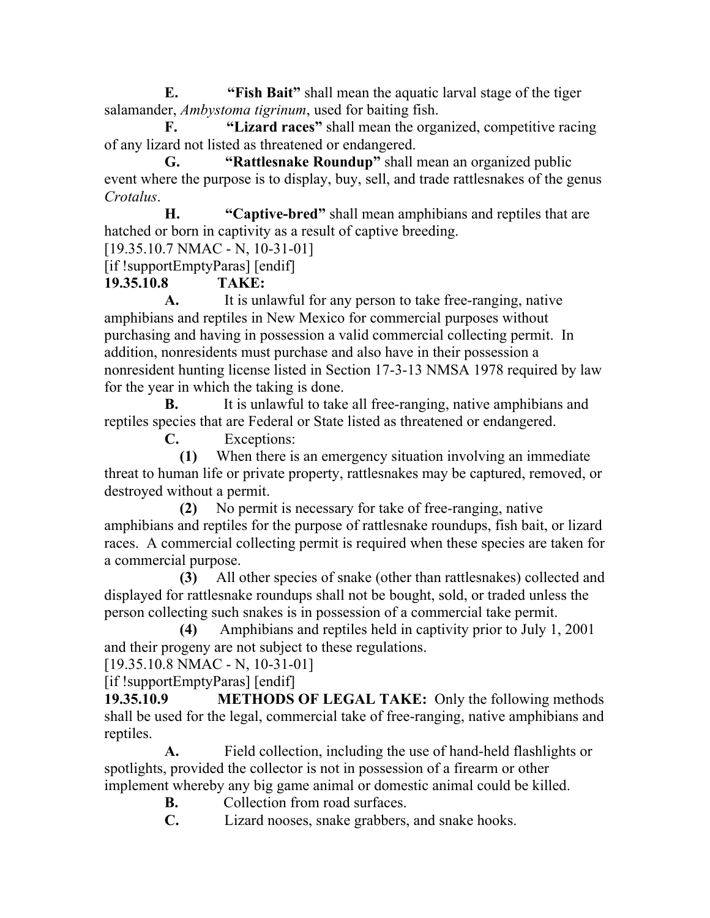**E. "Fish Bait"** shall mean the aquatic larval stage of the tiger salamander, *Ambystoma tigrinum*, used for baiting fish.

**F. "Lizard races"** shall mean the organized, competitive racing of any lizard not listed as threatened or endangered.

**G. "Rattlesnake Roundup"** shall mean an organized public event where the purpose is to display, buy, sell, and trade rattlesnakes of the genus *Crotalus*.

**H. "Captive-bred"** shall mean amphibians and reptiles that are hatched or born in captivity as a result of captive breeding.

[19.35.10.7 NMAC - N, 10-31-01]

[if !supportEmptyParas] [endif]

## **19.35.10.8 TAKE:**

**A.** It is unlawful for any person to take free-ranging, native amphibians and reptiles in New Mexico for commercial purposes without purchasing and having in possession a valid commercial collecting permit. In addition, nonresidents must purchase and also have in their possession a nonresident hunting license listed in Section 17-3-13 NMSA 1978 required by law for the year in which the taking is done.

**B.** It is unlawful to take all free-ranging, native amphibians and reptiles species that are Federal or State listed as threatened or endangered.

**C.** Exceptions:

**(1)** When there is an emergency situation involving an immediate threat to human life or private property, rattlesnakes may be captured, removed, or destroyed without a permit.

**(2)** No permit is necessary for take of free-ranging, native amphibians and reptiles for the purpose of rattlesnake roundups, fish bait, or lizard races. A commercial collecting permit is required when these species are taken for a commercial purpose.

**(3)** All other species of snake (other than rattlesnakes) collected and displayed for rattlesnake roundups shall not be bought, sold, or traded unless the person collecting such snakes is in possession of a commercial take permit.

**(4)** Amphibians and reptiles held in captivity prior to July 1, 2001 and their progeny are not subject to these regulations.

[19.35.10.8 NMAC - N, 10-31-01]

[if !supportEmptyParas] [endif]

**19.35.10.9 METHODS OF LEGAL TAKE:** Only the following methods shall be used for the legal, commercial take of free-ranging, native amphibians and reptiles.

**A.** Field collection, including the use of hand-held flashlights or spotlights, provided the collector is not in possession of a firearm or other implement whereby any big game animal or domestic animal could be killed.

**B.** Collection from road surfaces.

**C.** Lizard nooses, snake grabbers, and snake hooks.